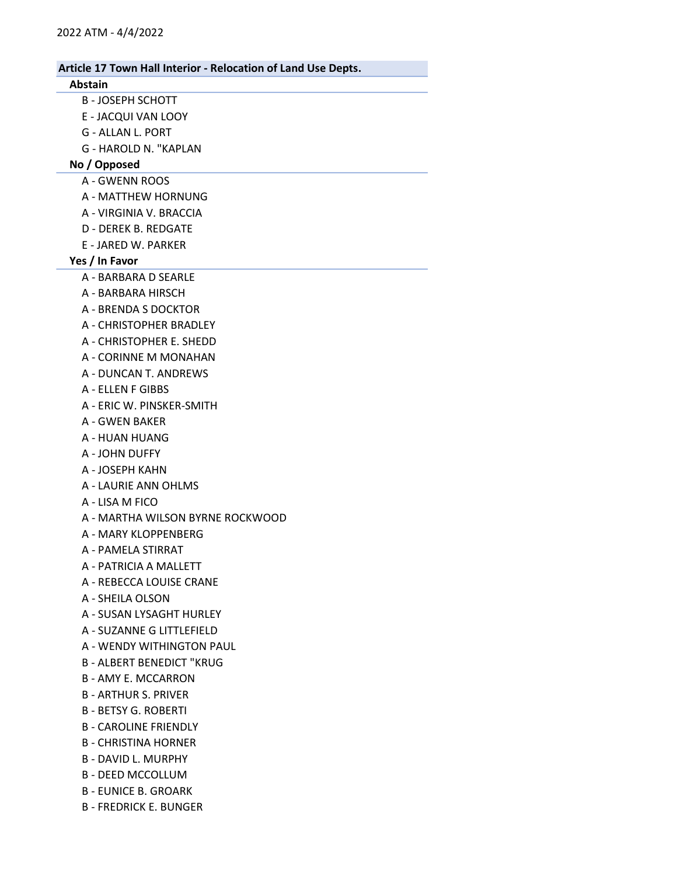## Abstain

- B JOSEPH SCHOTT
- E JACQUI VAN LOOY
- G ALLAN L. PORT
- G HAROLD N. "KAPLAN

# No / Opposed

- A GWENN ROOS
- A MATTHEW HORNUNG
- A VIRGINIA V. BRACCIA
- D DEREK B. REDGATE
- E JARED W. PARKER

#### Yes / In Favor

- A BARBARA D SEARLE
- A BARBARA HIRSCH
- A BRENDA S DOCKTOR
- A CHRISTOPHER BRADLEY
- A CHRISTOPHER E. SHEDD
- A CORINNE M MONAHAN
- A DUNCAN T. ANDREWS
- A ELLEN F GIBBS
- A ERIC W. PINSKER-SMITH
- A GWEN BAKER
- A HUAN HUANG
- A JOHN DUFFY
- A JOSEPH KAHN
- A LAURIE ANN OHLMS
- A LISA M FICO
- A MARTHA WILSON BYRNE ROCKWOOD
- A MARY KLOPPENBERG
- A PAMELA STIRRAT
- A PATRICIA A MALLETT
- A REBECCA LOUISE CRANE
- A SHEILA OLSON
- A SUSAN LYSAGHT HURLEY
- A SUZANNE G LITTLEFIELD
- A WENDY WITHINGTON PAUL
- B ALBERT BENEDICT "KRUG
- B AMY E. MCCARRON
- B ARTHUR S. PRIVER
- B BETSY G. ROBERTI
- B CAROLINE FRIENDLY
- B CHRISTINA HORNER
- B DAVID L. MURPHY
- B DEED MCCOLLUM
- B EUNICE B. GROARK
- B FREDRICK E. BUNGER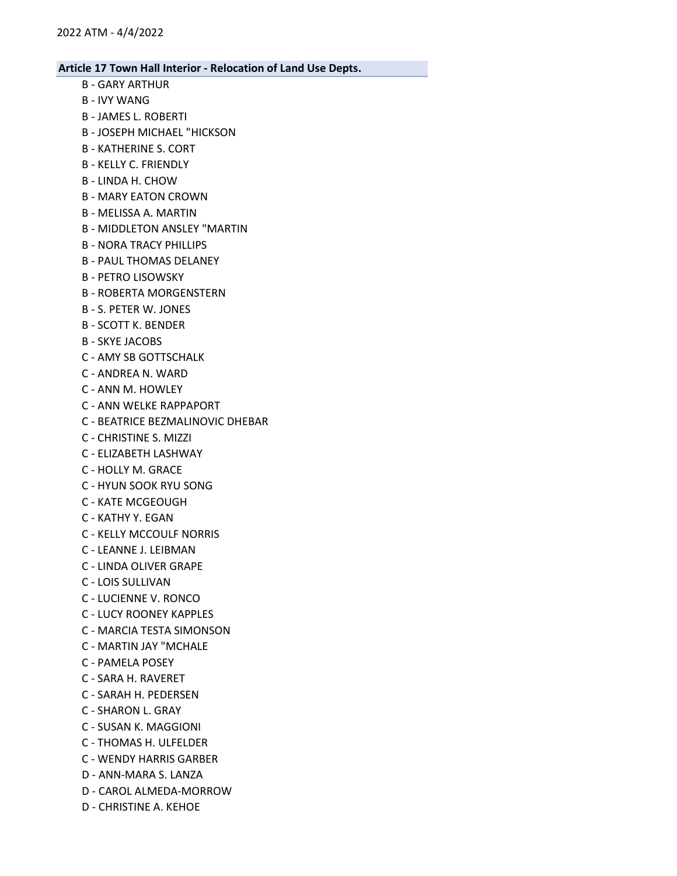- B GARY ARTHUR
- B IVY WANG
- B JAMES L. ROBERTI
- B JOSEPH MICHAEL "HICKSON
- B KATHERINE S. CORT
- B KELLY C. FRIENDLY
- B LINDA H. CHOW
- B MARY EATON CROWN
- B MELISSA A. MARTIN
- B MIDDLETON ANSLEY "MARTIN
- B NORA TRACY PHILLIPS
- B PAUL THOMAS DELANEY
- B PETRO LISOWSKY
- B ROBERTA MORGENSTERN
- B S. PETER W. JONES
- B SCOTT K. BENDER
- B SKYE JACOBS
- C AMY SB GOTTSCHALK
- C ANDREA N. WARD
- C ANN M. HOWLEY
- C ANN WELKE RAPPAPORT
- C BEATRICE BEZMALINOVIC DHEBAR
- C CHRISTINE S. MIZZI
- C ELIZABETH LASHWAY
- C HOLLY M. GRACE
- C HYUN SOOK RYU SONG
- C KATE MCGEOUGH
- C KATHY Y. EGAN
- C KELLY MCCOULF NORRIS
- C LEANNE J. LEIBMAN
- C LINDA OLIVER GRAPE
- C LOIS SULLIVAN
- C LUCIENNE V. RONCO
- C LUCY ROONEY KAPPLES
- C MARCIA TESTA SIMONSON
- C MARTIN JAY "MCHALE
- C PAMELA POSEY
- C SARA H. RAVERET
- C SARAH H. PEDERSEN
- C SHARON L. GRAY
- C SUSAN K. MAGGIONI
- C THOMAS H. ULFELDER
- C WENDY HARRIS GARBER
- D ANN-MARA S. LANZA
- D CAROL ALMEDA-MORROW
- D CHRISTINE A. KEHOE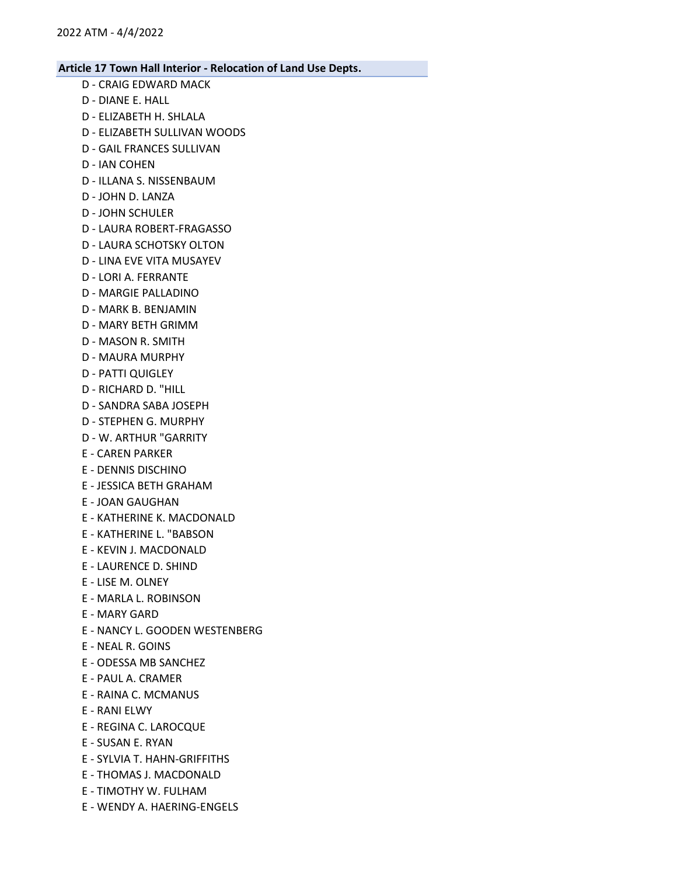- D CRAIG EDWARD MACK
- D DIANE E. HALL
- D ELIZABETH H. SHLALA
- D ELIZABETH SULLIVAN WOODS
- D GAIL FRANCES SULLIVAN
- D IAN COHEN
- D ILLANA S. NISSENBAUM
- D JOHN D. LANZA
- D JOHN SCHULER
- D LAURA ROBERT-FRAGASSO
- D LAURA SCHOTSKY OLTON
- D LINA EVE VITA MUSAYEV
- D LORI A. FERRANTE
- D MARGIE PALLADINO
- D MARK B. BENJAMIN
- D MARY BETH GRIMM
- D MASON R. SMITH
- D MAURA MURPHY
- D PATTI QUIGLEY
- D RICHARD D. "HILL
- D SANDRA SABA JOSEPH
- D STEPHEN G. MURPHY
- D W. ARTHUR "GARRITY
- E CAREN PARKER
- E DENNIS DISCHINO
- E JESSICA BETH GRAHAM
- E JOAN GAUGHAN
- E KATHERINE K. MACDONALD
- E KATHERINE L. "BABSON
- E KEVIN J. MACDONALD
- E LAURENCE D. SHIND
- E LISE M. OLNEY
- E MARLA L. ROBINSON
- E MARY GARD
- E NANCY L. GOODEN WESTENBERG
- E NEAL R. GOINS
- E ODESSA MB SANCHEZ
- E PAUL A. CRAMER
- E RAINA C. MCMANUS
- E RANI ELWY
- E REGINA C. LAROCQUE
- E SUSAN E. RYAN
- E SYLVIA T. HAHN-GRIFFITHS
- E THOMAS J. MACDONALD
- E TIMOTHY W. FULHAM
- E WENDY A. HAERING-ENGELS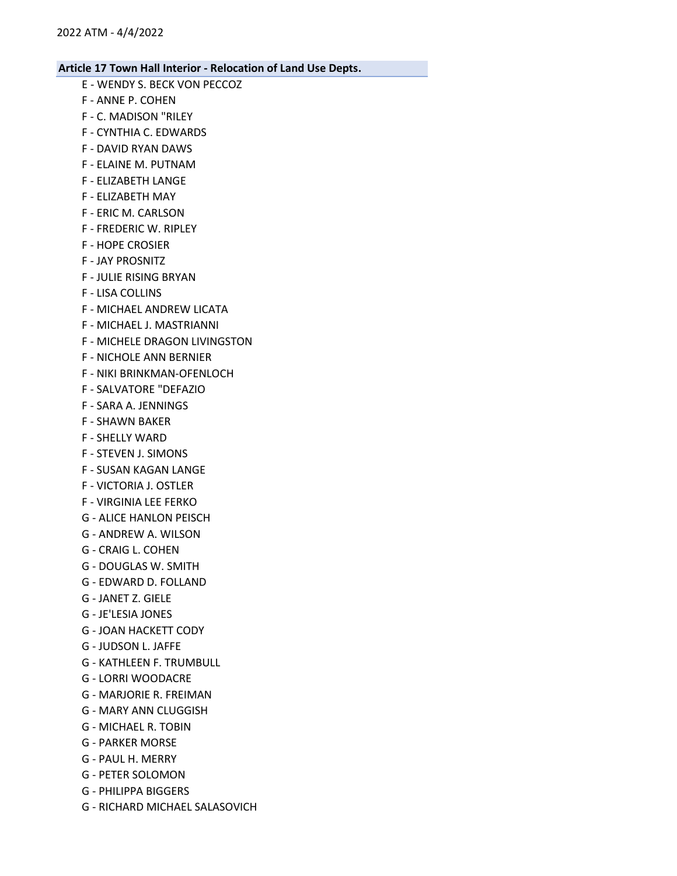- E WENDY S. BECK VON PECCOZ
- F ANNE P. COHEN
- F C. MADISON "RILEY
- F CYNTHIA C. EDWARDS
- F DAVID RYAN DAWS
- F ELAINE M. PUTNAM
- F ELIZABETH LANGE
- F ELIZABETH MAY
- F ERIC M. CARLSON
- F FREDERIC W. RIPLEY
- F HOPE CROSIER
- F JAY PROSNITZ
- F JULIE RISING BRYAN
- F LISA COLLINS
- F MICHAEL ANDREW LICATA
- F MICHAEL J. MASTRIANNI
- F MICHELE DRAGON LIVINGSTON
- F NICHOLE ANN BERNIER
- F NIKI BRINKMAN-OFENLOCH
- F SALVATORE "DEFAZIO
- F SARA A. JENNINGS
- F SHAWN BAKER
- F SHELLY WARD
- F STEVEN J. SIMONS
- F SUSAN KAGAN LANGE
- F VICTORIA J. OSTLER
- F VIRGINIA LEE FERKO
- G ALICE HANLON PEISCH
- G ANDREW A. WILSON
- G CRAIG L. COHEN
- G DOUGLAS W. SMITH
- G EDWARD D. FOLLAND
- G JANET Z. GIELE
- G JE'LESIA JONES
- G JOAN HACKETT CODY
- G JUDSON L. JAFFE
- G KATHLEEN F. TRUMBULL
- G LORRI WOODACRE
- G MARJORIE R. FREIMAN
- G MARY ANN CLUGGISH
- G MICHAEL R. TOBIN
- G PARKER MORSE
- G PAUL H. MERRY
- G PETER SOLOMON
- G PHILIPPA BIGGERS
- G RICHARD MICHAEL SALASOVICH